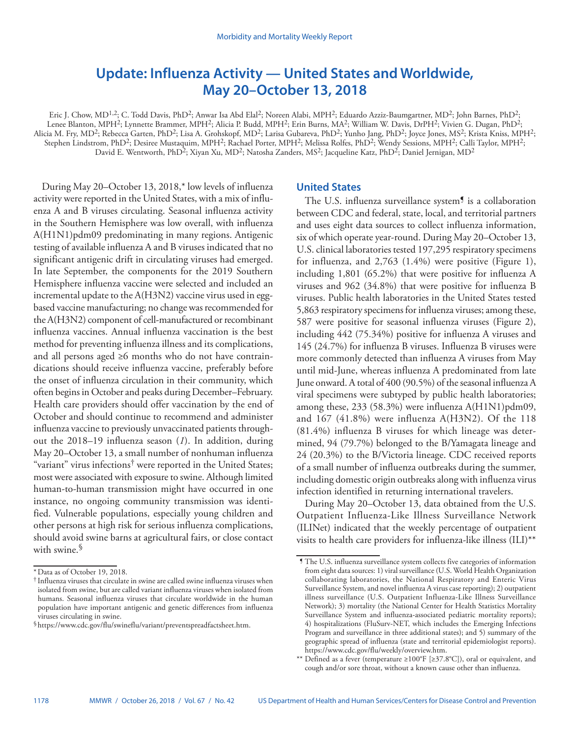# **Update: Influenza Activity — United States and Worldwide, May 20–October 13, 2018**

Eric J. Chow, MD<sup>1,2</sup>; C. Todd Davis, PhD<sup>2</sup>; Anwar Isa Abd Elal<sup>2</sup>; Noreen Alabi, MPH<sup>2</sup>; Eduardo Azziz-Baumgartner, MD<sup>2</sup>; John Barnes, PhD<sup>2</sup>; Lenee Blanton, MPH<sup>2</sup>; Lynnette Brammer, MPH<sup>2</sup>; Alicia P. Budd, MPH<sup>2</sup>; Erin Burns, MA<sup>2</sup>; William W. Davis, DrPH<sup>2</sup>; Vivien G. Dugan, PhD<sup>2</sup>; Alicia M. Fry, MD<sup>2</sup>; Rebecca Garten, PhD<sup>2</sup>; Lisa A. Grohskopf, MD<sup>2</sup>; Larisa Gubareva, PhD<sup>2</sup>; Yunho Jang, PhD<sup>2</sup>; Joyce Jones, MS<sup>2</sup>; Krista Kniss, MPH<sup>2</sup>; Stephen Lindstrom, PhD<sup>2</sup>; Desiree Mustaquim, MPH<sup>2</sup>; Rachael Porter, MPH<sup>2</sup>; Melissa Rolfes, PhD<sup>2</sup>; Wendy Sessions, MPH<sup>2</sup>; Calli Taylor, MPH<sup>2</sup>; David E. Wentworth, PhD<sup>2</sup>; Xiyan Xu, MD<sup>2</sup>; Natosha Zanders, MS<sup>2</sup>; Jacqueline Katz, PhD<sup>2</sup>; Daniel Jernigan, MD<sup>2</sup>

During May 20–October 13, 2018,\* low levels of influenza activity were reported in the United States, with a mix of influenza A and B viruses circulating. Seasonal influenza activity in the Southern Hemisphere was low overall, with influenza A(H1N1)pdm09 predominating in many regions. Antigenic testing of available influenza A and B viruses indicated that no significant antigenic drift in circulating viruses had emerged. In late September, the components for the 2019 Southern Hemisphere influenza vaccine were selected and included an incremental update to the A(H3N2) vaccine virus used in eggbased vaccine manufacturing; no change was recommended for the A(H3N2) component of cell-manufactured or recombinant influenza vaccines. Annual influenza vaccination is the best method for preventing influenza illness and its complications, and all persons aged ≥6 months who do not have contraindications should receive influenza vaccine, preferably before the onset of influenza circulation in their community, which often begins in October and peaks during December–February. Health care providers should offer vaccination by the end of October and should continue to recommend and administer influenza vaccine to previously unvaccinated patients throughout the 2018–19 influenza season (*1*). In addition, during May 20–October 13, a small number of nonhuman influenza "variant" virus infections† were reported in the United States; most were associated with exposure to swine. Although limited human-to-human transmission might have occurred in one instance, no ongoing community transmission was identified. Vulnerable populations, especially young children and other persons at high risk for serious influenza complications, should avoid swine barns at agricultural fairs, or close contact with swine.<sup>§</sup>

## **United States**

The U.S. influenza surveillance system<sup>9</sup> is a collaboration between CDC and federal, state, local, and territorial partners and uses eight data sources to collect influenza information, six of which operate year-round. During May 20–October 13, U.S. clinical laboratories tested 197,295 respiratory specimens for influenza, and 2,763 (1.4%) were positive (Figure 1), including 1,801 (65.2%) that were positive for influenza A viruses and 962 (34.8%) that were positive for influenza B viruses. Public health laboratories in the United States tested 5,863 respiratory specimens for influenza viruses; among these, 587 were positive for seasonal influenza viruses (Figure 2), including 442 (75.34%) positive for influenza A viruses and 145 (24.7%) for influenza B viruses. Influenza B viruses were more commonly detected than influenza A viruses from May until mid-June, whereas influenza A predominated from late June onward. A total of 400 (90.5%) of the seasonal influenza A viral specimens were subtyped by public health laboratories; among these, 233 (58.3%) were influenza A(H1N1)pdm09, and 167 (41.8%) were influenza A(H3N2). Of the 118 (81.4%) influenza B viruses for which lineage was determined, 94 (79.7%) belonged to the B/Yamagata lineage and 24 (20.3%) to the B/Victoria lineage. CDC received reports of a small number of influenza outbreaks during the summer, including domestic origin outbreaks along with influenza virus infection identified in returning international travelers.

During May 20–October 13, data obtained from the U.S. Outpatient Influenza-Like Illness Surveillance Network (ILINet) indicated that the weekly percentage of outpatient visits to health care providers for influenza-like illness (ILI)\*\*

<sup>\*</sup>Data as of October 19, 2018.

<sup>†</sup> Influenza viruses that circulate in swine are called swine influenza viruses when isolated from swine, but are called variant influenza viruses when isolated from humans. Seasonal influenza viruses that circulate worldwide in the human population have important antigenic and genetic differences from influenza viruses circulating in swine.

<sup>§</sup><https://www.cdc.gov/flu/swineflu/variant/preventspreadfactsheet.htm>.

 $\P$  The U.S. influenza surveillance system collects five categories of information from eight data sources: 1) viral surveillance (U.S. World Health Organization collaborating laboratories, the National Respiratory and Enteric Virus Surveillance System, and novel influenza A virus case reporting); 2) outpatient illness surveillance (U.S. Outpatient Influenza-Like Illness Surveillance Network); 3) mortality (the National Center for Health Statistics Mortality Surveillance System and influenza-associated pediatric mortality reports); 4) hospitalizations (FluSurv-NET, which includes the Emerging Infections Program and surveillance in three additional states); and 5) summary of the geographic spread of influenza (state and territorial epidemiologist reports). <https://www.cdc.gov/flu/weekly/overview.htm>.

<sup>\*\*</sup> Defined as a fever (temperature ≥100°F [≥37.8°C]), oral or equivalent, and cough and/or sore throat, without a known cause other than influenza.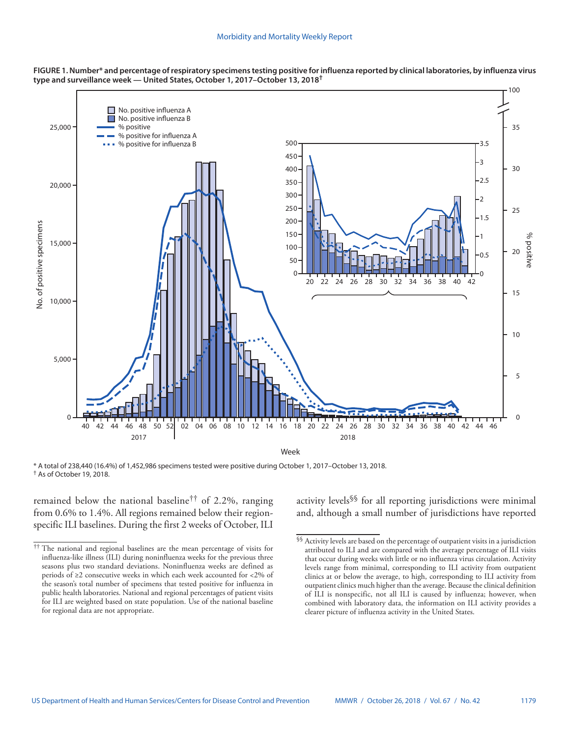

**FIGURE 1. Number\* and percentage of respiratory specimens testing positive for influenza reported by clinical laboratories, by influenza virus type and surveillance week — United States, October 1, 2017–October 13, 2018†**

\* A total of 238,440 (16.4%) of 1,452,986 specimens tested were positive during October 1, 2017–October 13, 2018. † As of October 19, 2018.

remained below the national baseline<sup>††</sup> of 2.2%, ranging from 0.6% to 1.4%. All regions remained below their regionspecific ILI baselines. During the first 2 weeks of October, ILI activity levels§§ for all reporting jurisdictions were minimal and, although a small number of jurisdictions have reported

<sup>††</sup> The national and regional baselines are the mean percentage of visits for influenza-like illness (ILI) during noninfluenza weeks for the previous three seasons plus two standard deviations. Noninfluenza weeks are defined as periods of ≥2 consecutive weeks in which each week accounted for <2% of the season's total number of specimens that tested positive for influenza in public health laboratories. National and regional percentages of patient visits for ILI are weighted based on state population. Use of the national baseline for regional data are not appropriate.

 $\$  Activity levels are based on the percentage of outpatient visits in a jurisdiction attributed to ILI and are compared with the average percentage of ILI visits that occur during weeks with little or no influenza virus circulation. Activity levels range from minimal, corresponding to ILI activity from outpatient clinics at or below the average, to high, corresponding to ILI activity from outpatient clinics much higher than the average. Because the clinical definition of ILI is nonspecific, not all ILI is caused by influenza; however, when combined with laboratory data, the information on ILI activity provides a clearer picture of influenza activity in the United States.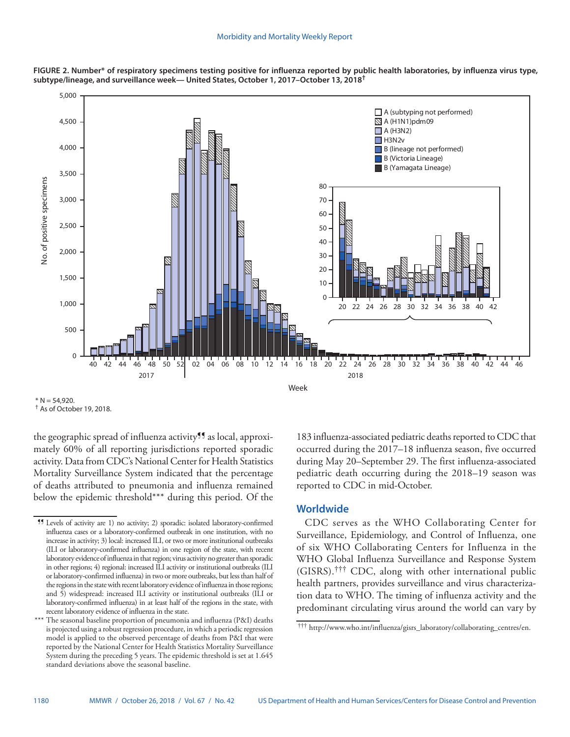



 $<sup>†</sup>$  As of October 19, 2018.</sup>

the geographic spread of influenza activity<sup>11</sup> as local, approximately 60% of all reporting jurisdictions reported sporadic activity. Data from CDC's National Center for Health Statistics Mortality Surveillance System indicated that the percentage of deaths attributed to pneumonia and influenza remained below the epidemic threshold\*\*\* during this period. Of the 183 influenza-associated pediatric deaths reported to CDC that occurred during the 2017–18 influenza season, five occurred during May 20–September 29. The first influenza-associated pediatric death occurring during the 2018–19 season was reported to CDC in mid-October.

# **Worldwide**

CDC serves as the WHO Collaborating Center for Surveillance, Epidemiology, and Control of Influenza, one of six WHO Collaborating Centers for Influenza in the WHO Global Influenza Surveillance and Response System (GISRS).††† CDC, along with other international public health partners, provides surveillance and virus characterization data to WHO. The timing of influenza activity and the predominant circulating virus around the world can vary by

 $* N = 54,920.$ 

<sup>¶¶</sup> Levels of activity are 1) no activity; 2) sporadic: isolated laboratory-confirmed influenza cases or a laboratory-confirmed outbreak in one institution, with no increase in activity; 3) local: increased ILI, or two or more institutional outbreaks (ILI or laboratory-confirmed influenza) in one region of the state, with recent laboratory evidence of influenza in that region; virus activity no greater than sporadic in other regions; 4) regional: increased ILI activity or institutional outbreaks (ILI or laboratory-confirmed influenza) in two or more outbreaks, but less than half of the regions in the state with recent laboratory evidence of influenza in those regions; and 5) widespread: increased ILI activity or institutional outbreaks (ILI or laboratory-confirmed influenza) in at least half of the regions in the state, with recent laboratory evidence of influenza in the state.

The seasonal baseline proportion of pneumonia and influenza (P&I) deaths is projected using a robust regression procedure, in which a periodic regression model is applied to the observed percentage of deaths from P&I that were reported by the National Center for Health Statistics Mortality Surveillance System during the preceding 5 years. The epidemic threshold is set at 1.645 standard deviations above the seasonal baseline.

<sup>†††</sup> [http://www.who.int/influenza/gisrs\\_laboratory/collaborating\\_centres/en](http://www.who.int/influenza/gisrs_laboratory/collaborating_centres/en).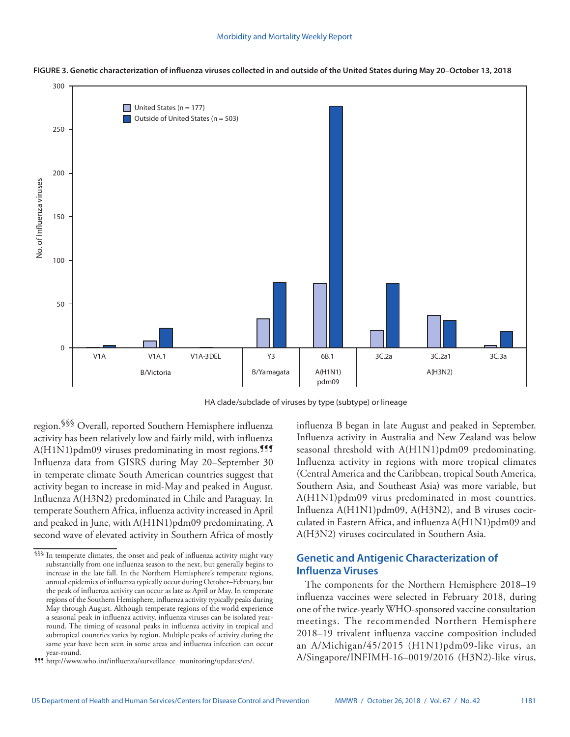

**FIGURE 3. Genetic characterization of influenza viruses collected in and outside of the United States during May 20–October 13, 2018**

HA clade/subclade of viruses by type (subtype) or lineage

region.§§§ Overall, reported Southern Hemisphere influenza activity has been relatively low and fairly mild, with influenza  $A(H1N1)$ pdm09 viruses predominating in most regions.<sup>111</sup> Influenza data from GISRS during May 20–September 30 in temperate climate South American countries suggest that activity began to increase in mid-May and peaked in August. Influenza A(H3N2) predominated in Chile and Paraguay. In temperate Southern Africa, influenza activity increased in April and peaked in June, with A(H1N1)pdm09 predominating. A second wave of elevated activity in Southern Africa of mostly influenza B began in late August and peaked in September. Influenza activity in Australia and New Zealand was below seasonal threshold with A(H1N1)pdm09 predominating. Influenza activity in regions with more tropical climates (Central America and the Caribbean, tropical South America, Southern Asia, and Southeast Asia) was more variable, but A(H1N1)pdm09 virus predominated in most countries. Influenza A(H1N1)pdm09, A(H3N2), and B viruses cocirculated in Eastern Africa, and influenza A(H1N1)pdm09 and A(H3N2) viruses cocirculated in Southern Asia.

# **Genetic and Antigenic Characterization of Influenza Viruses**

The components for the Northern Hemisphere 2018–19 influenza vaccines were selected in February 2018, during one of the twice-yearly WHO-sponsored vaccine consultation meetings. The recommended Northern Hemisphere 2018–19 trivalent influenza vaccine composition included an A/Michigan/45/2015 (H1N1)pdm09-like virus, an A/Singapore/INFIMH-16–0019/2016 (H3N2)-like virus,

<sup>§§§</sup> In temperate climates, the onset and peak of influenza activity might vary substantially from one influenza season to the next, but generally begins to increase in the late fall. In the Northern Hemisphere's temperate regions, annual epidemics of influenza typically occur during October–February, but the peak of influenza activity can occur as late as April or May. In temperate regions of the Southern Hemisphere, influenza activity typically peaks during May through August. Although temperate regions of the world experience a seasonal peak in influenza activity, influenza viruses can be isolated yearround. The timing of seasonal peaks in influenza activity in tropical and subtropical countries varies by region. Multiple peaks of activity during the same year have been seen in some areas and influenza infection can occur year-round.

<sup>¶¶¶</sup> [http://www.who.int/influenza/surveillance\\_monitoring/updates/en/](http://www.who.int/influenza/surveillance_monitoring/updates/en/).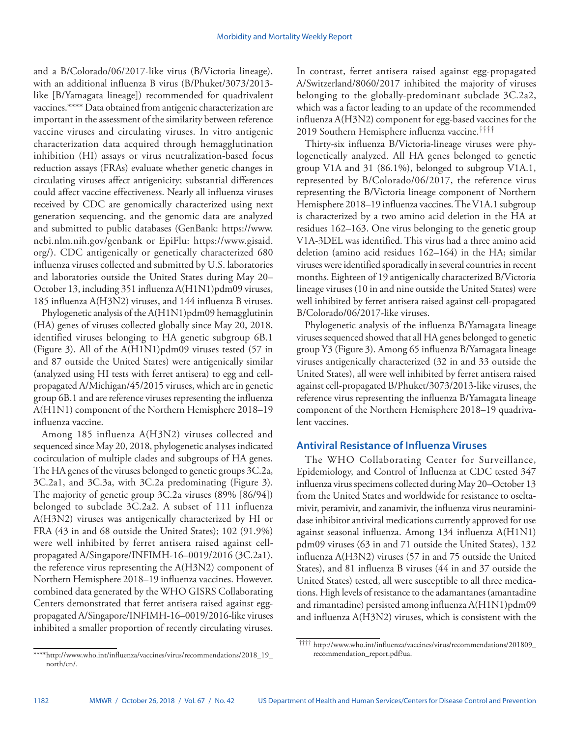and a B/Colorado/06/2017-like virus (B/Victoria lineage), with an additional influenza B virus (B/Phuket/3073/2013 like [B/Yamagata lineage]) recommended for quadrivalent vaccines.\*\*\*\* Data obtained from antigenic characterization are important in the assessment of the similarity between reference vaccine viruses and circulating viruses. In vitro antigenic characterization data acquired through hemagglutination inhibition (HI) assays or virus neutralization-based focus reduction assays (FRAs) evaluate whether genetic changes in circulating viruses affect antigenicity; substantial differences could affect vaccine effectiveness. Nearly all influenza viruses received by CDC are genomically characterized using next generation sequencing, and the genomic data are analyzed and submitted to public databases (GenBank: [https://www.](https://www.ncbi.nlm.nih.gov/genbank) [ncbi.nlm.nih.gov/genbank](https://www.ncbi.nlm.nih.gov/genbank) or EpiFlu: [https://www.gisaid.](https://www.gisaid.org/) [org/\)](https://www.gisaid.org/). CDC antigenically or genetically characterized 680 influenza viruses collected and submitted by U.S. laboratories and laboratories outside the United States during May 20– October 13, including 351 influenza A(H1N1)pdm09 viruses, 185 influenza A(H3N2) viruses, and 144 influenza B viruses.

Phylogenetic analysis of the A(H1N1)pdm09 hemagglutinin (HA) genes of viruses collected globally since May 20, 2018, identified viruses belonging to HA genetic subgroup 6B.1 (Figure 3). All of the A(H1N1)pdm09 viruses tested (57 in and 87 outside the United States) were antigenically similar (analyzed using HI tests with ferret antisera) to egg and cellpropagated A/Michigan/45/2015 viruses, which are in genetic group 6B.1 and are reference viruses representing the influenza A(H1N1) component of the Northern Hemisphere 2018–19 influenza vaccine.

Among 185 influenza A(H3N2) viruses collected and sequenced since May 20, 2018, phylogenetic analyses indicated cocirculation of multiple clades and subgroups of HA genes. The HA genes of the viruses belonged to genetic groups 3C.2a, 3C.2a1, and 3C.3a, with 3C.2a predominating (Figure 3). The majority of genetic group 3C.2a viruses (89% [86/94]) belonged to subclade 3C.2a2. A subset of 111 influenza A(H3N2) viruses was antigenically characterized by HI or FRA (43 in and 68 outside the United States); 102 (91.9%) were well inhibited by ferret antisera raised against cellpropagated A/Singapore/INFIMH-16–0019/2016 (3C.2a1), the reference virus representing the A(H3N2) component of Northern Hemisphere 2018–19 influenza vaccines. However, combined data generated by the WHO GISRS Collaborating Centers demonstrated that ferret antisera raised against eggpropagated A/Singapore/INFIMH-16–0019/2016-like viruses inhibited a smaller proportion of recently circulating viruses.

\*\*\*\*[http://www.who.int/influenza/vaccines/virus/recommendations/2018\\_19\\_](http://www.who.int/influenza/vaccines/virus/recommendations/2018_19_north/en/) [north/en/](http://www.who.int/influenza/vaccines/virus/recommendations/2018_19_north/en/).

In contrast, ferret antisera raised against egg-propagated A/Switzerland/8060/2017 inhibited the majority of viruses belonging to the globally-predominant subclade 3C.2a2, which was a factor leading to an update of the recommended influenza A(H3N2) component for egg-based vaccines for the 2019 Southern Hemisphere influenza vaccine.††††

Thirty-six influenza B/Victoria-lineage viruses were phylogenetically analyzed. All HA genes belonged to genetic group V1A and 31 (86.1%), belonged to subgroup V1A.1, represented by B/Colorado/06/2017, the reference virus representing the B/Victoria lineage component of Northern Hemisphere 2018–19 influenza vaccines. The V1A.1 subgroup is characterized by a two amino acid deletion in the HA at residues 162–163. One virus belonging to the genetic group V1A-3DEL was identified. This virus had a three amino acid deletion (amino acid residues 162–164) in the HA; similar viruses were identified sporadically in several countries in recent months. Eighteen of 19 antigenically characterized B/Victoria lineage viruses (10 in and nine outside the United States) were well inhibited by ferret antisera raised against cell-propagated B/Colorado/06/2017-like viruses.

Phylogenetic analysis of the influenza B/Yamagata lineage viruses sequenced showed that all HA genes belonged to genetic group Y3 (Figure 3). Among 65 influenza B/Yamagata lineage viruses antigenically characterized (32 in and 33 outside the United States), all were well inhibited by ferret antisera raised against cell-propagated B/Phuket/3073/2013-like viruses, the reference virus representing the influenza B/Yamagata lineage component of the Northern Hemisphere 2018–19 quadrivalent vaccines.

# **Antiviral Resistance of Influenza Viruses**

The WHO Collaborating Center for Surveillance, Epidemiology, and Control of Influenza at CDC tested 347 influenza virus specimens collected during May 20–October 13 from the United States and worldwide for resistance to oseltamivir, peramivir, and zanamivir, the influenza virus neuraminidase inhibitor antiviral medications currently approved for use against seasonal influenza. Among 134 influenza A(H1N1) pdm09 viruses (63 in and 71 outside the United States), 132 influenza A(H3N2) viruses (57 in and 75 outside the United States), and 81 influenza B viruses (44 in and 37 outside the United States) tested, all were susceptible to all three medications. High levels of resistance to the adamantanes (amantadine and rimantadine) persisted among influenza A(H1N1)pdm09 and influenza A(H3N2) viruses, which is consistent with the

†††† [http://www.who.int/influenza/vaccines/virus/recommendations/201809\\_](http://www.who.int/influenza/vaccines/virus/recommendations/201809_recommendation_report.pdf?ua)

[recommendation\\_report.pdf?ua.](http://www.who.int/influenza/vaccines/virus/recommendations/201809_recommendation_report.pdf?ua)

<sup>1182</sup> MMWR / October 26, 2018 / Vol. 67 / No. 42 US Department of Health and Human Services/Centers for Disease Control and Prevention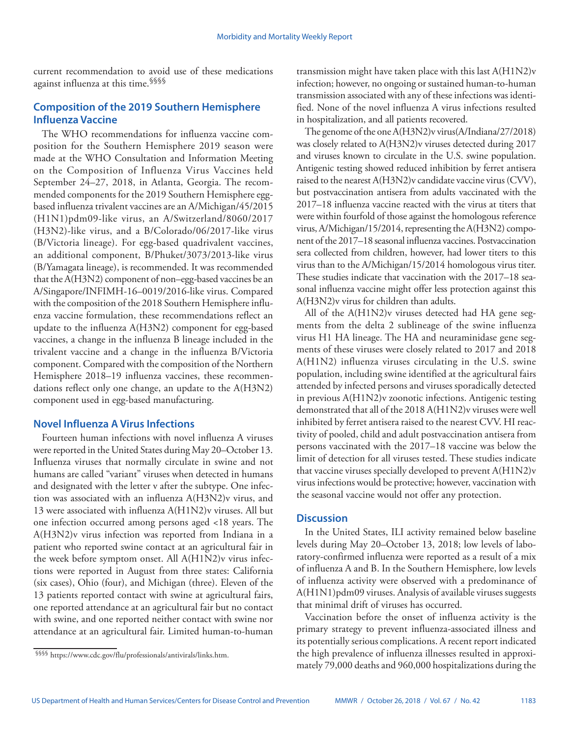current recommendation to avoid use of these medications against influenza at this time.§§§§

# **Composition of the 2019 Southern Hemisphere Influenza Vaccine**

The WHO recommendations for influenza vaccine composition for the Southern Hemisphere 2019 season were made at the WHO Consultation and Information Meeting on the Composition of Influenza Virus Vaccines held September 24–27, 2018, in Atlanta, Georgia. The recommended components for the 2019 Southern Hemisphere eggbased influenza trivalent vaccines are an A/Michigan/45/2015 (H1N1)pdm09-like virus, an A/Switzerland/8060/2017 (H3N2)-like virus, and a B/Colorado/06/2017-like virus (B/Victoria lineage). For egg-based quadrivalent vaccines, an additional component, B/Phuket/3073/2013-like virus (B/Yamagata lineage), is recommended. It was recommended that the A(H3N2) component of non–egg-based vaccines be an A/Singapore/INFIMH-16–0019/2016-like virus. Compared with the composition of the 2018 Southern Hemisphere influenza vaccine formulation, these recommendations reflect an update to the influenza A(H3N2) component for egg-based vaccines, a change in the influenza B lineage included in the trivalent vaccine and a change in the influenza B/Victoria component. Compared with the composition of the Northern Hemisphere 2018–19 influenza vaccines, these recommendations reflect only one change, an update to the A(H3N2) component used in egg-based manufacturing.

# **Novel Influenza A Virus Infections**

Fourteen human infections with novel influenza A viruses were reported in the United States during May 20–October 13. Influenza viruses that normally circulate in swine and not humans are called "variant" viruses when detected in humans and designated with the letter v after the subtype. One infection was associated with an influenza A(H3N2)v virus, and 13 were associated with influenza A(H1N2)v viruses. All but one infection occurred among persons aged <18 years. The A(H3N2)v virus infection was reported from Indiana in a patient who reported swine contact at an agricultural fair in the week before symptom onset. All A(H1N2)v virus infections were reported in August from three states: California (six cases), Ohio (four), and Michigan (three). Eleven of the 13 patients reported contact with swine at agricultural fairs, one reported attendance at an agricultural fair but no contact with swine, and one reported neither contact with swine nor attendance at an agricultural fair. Limited human-to-human

transmission might have taken place with this last A(H1N2)v infection; however, no ongoing or sustained human-to-human transmission associated with any of these infections was identified. None of the novel influenza A virus infections resulted in hospitalization, and all patients recovered.

The genome of the one A(H3N2)v virus(A/Indiana/27/2018) was closely related to A(H3N2)v viruses detected during 2017 and viruses known to circulate in the U.S. swine population. Antigenic testing showed reduced inhibition by ferret antisera raised to the nearest A(H3N2)v candidate vaccine virus (CVV), but postvaccination antisera from adults vaccinated with the 2017–18 influenza vaccine reacted with the virus at titers that were within fourfold of those against the homologous reference virus, A/Michigan/15/2014, representing the A(H3N2) component of the 2017–18 seasonal influenza vaccines. Postvaccination sera collected from children, however, had lower titers to this virus than to the A/Michigan/15/2014 homologous virus titer. These studies indicate that vaccination with the 2017–18 seasonal influenza vaccine might offer less protection against this A(H3N2)v virus for children than adults.

All of the A(H1N2)v viruses detected had HA gene segments from the delta 2 sublineage of the swine influenza virus H1 HA lineage. The HA and neuraminidase gene segments of these viruses were closely related to 2017 and 2018 A(H1N2) influenza viruses circulating in the U.S. swine population, including swine identified at the agricultural fairs attended by infected persons and viruses sporadically detected in previous A(H1N2)v zoonotic infections. Antigenic testing demonstrated that all of the 2018 A(H1N2)v viruses were well inhibited by ferret antisera raised to the nearest CVV. HI reactivity of pooled, child and adult postvaccination antisera from persons vaccinated with the 2017–18 vaccine was below the limit of detection for all viruses tested. These studies indicate that vaccine viruses specially developed to prevent A(H1N2)v virus infections would be protective; however, vaccination with the seasonal vaccine would not offer any protection.

## **Discussion**

In the United States, ILI activity remained below baseline levels during May 20–October 13, 2018; low levels of laboratory-confirmed influenza were reported as a result of a mix of influenza A and B. In the Southern Hemisphere, low levels of influenza activity were observed with a predominance of A(H1N1)pdm09 viruses. Analysis of available viruses suggests that minimal drift of viruses has occurred.

Vaccination before the onset of influenza activity is the primary strategy to prevent influenza-associated illness and its potentially serious complications. A recent report indicated the high prevalence of influenza illnesses resulted in approximately 79,000 deaths and 960,000 hospitalizations during the

<sup>§§§§</sup> <https://www.cdc.gov/flu/professionals/antivirals/links.htm>.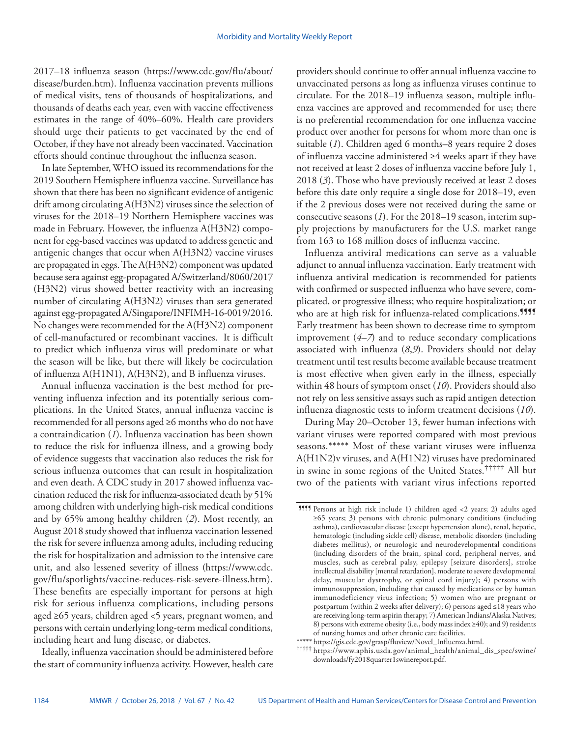2017–18 influenza season ([https://www.cdc.gov/flu/about/](https://www.cdc.gov/flu/about/disease/burden.htm) [disease/burden.htm](https://www.cdc.gov/flu/about/disease/burden.htm)). Influenza vaccination prevents millions of medical visits, tens of thousands of hospitalizations, and thousands of deaths each year, even with vaccine effectiveness estimates in the range of 40%–60%. Health care providers should urge their patients to get vaccinated by the end of October, if they have not already been vaccinated. Vaccination efforts should continue throughout the influenza season.

In late September, WHO issued its recommendations for the 2019 Southern Hemisphere influenza vaccine. Surveillance has shown that there has been no significant evidence of antigenic drift among circulating A(H3N2) viruses since the selection of viruses for the 2018–19 Northern Hemisphere vaccines was made in February. However, the influenza A(H3N2) component for egg-based vaccines was updated to address genetic and antigenic changes that occur when A(H3N2) vaccine viruses are propagated in eggs. The A(H3N2) component was updated because sera against egg-propagated A/Switzerland/8060/2017 (H3N2) virus showed better reactivity with an increasing number of circulating A(H3N2) viruses than sera generated against egg-propagated A/Singapore/INFIMH-16-0019/2016. No changes were recommended for the A(H3N2) component of cell-manufactured or recombinant vaccines. It is difficult to predict which influenza virus will predominate or what the season will be like, but there will likely be cocirculation of influenza A(H1N1), A(H3N2), and B influenza viruses.

Annual influenza vaccination is the best method for preventing influenza infection and its potentially serious complications. In the United States, annual influenza vaccine is recommended for all persons aged ≥6 months who do not have a contraindication (*1*). Influenza vaccination has been shown to reduce the risk for influenza illness, and a growing body of evidence suggests that vaccination also reduces the risk for serious influenza outcomes that can result in hospitalization and even death. A CDC study in 2017 showed influenza vaccination reduced the risk for influenza-associated death by 51% among children with underlying high-risk medical conditions and by 65% among healthy children (*2*). Most recently, an August 2018 study showed that influenza vaccination lessened the risk for severe influenza among adults, including reducing the risk for hospitalization and admission to the intensive care unit, and also lessened severity of illness [\(https://www.cdc.](https://www.cdc.gov/flu/spotlights/vaccine-reduces-risk-severe-illness.htm) [gov/flu/spotlights/vaccine-reduces-risk-severe-illness.htm\)](https://www.cdc.gov/flu/spotlights/vaccine-reduces-risk-severe-illness.htm). These benefits are especially important for persons at high risk for serious influenza complications, including persons aged ≥65 years, children aged <5 years, pregnant women, and persons with certain underlying long-term medical conditions, including heart and lung disease, or diabetes.

Ideally, influenza vaccination should be administered before the start of community influenza activity. However, health care providers should continue to offer annual influenza vaccine to unvaccinated persons as long as influenza viruses continue to circulate. For the 2018–19 influenza season, multiple influenza vaccines are approved and recommended for use; there is no preferential recommendation for one influenza vaccine product over another for persons for whom more than one is suitable (*1*). Children aged 6 months–8 years require 2 doses of influenza vaccine administered ≥4 weeks apart if they have not received at least 2 doses of influenza vaccine before July 1, 2018 (*3*). Those who have previously received at least 2 doses before this date only require a single dose for 2018–19, even if the 2 previous doses were not received during the same or consecutive seasons (*1*). For the 2018–19 season, interim supply projections by manufacturers for the U.S. market range from 163 to 168 million doses of influenza vaccine.

Influenza antiviral medications can serve as a valuable adjunct to annual influenza vaccination. Early treatment with influenza antiviral medication is recommended for patients with confirmed or suspected influenza who have severe, complicated, or progressive illness; who require hospitalization; or who are at high risk for influenza-related complications.<sup>9999</sup> Early treatment has been shown to decrease time to symptom improvement (*4*–*7*) and to reduce secondary complications associated with influenza (*8*,*9*). Providers should not delay treatment until test results become available because treatment is most effective when given early in the illness, especially within 48 hours of symptom onset (*10*). Providers should also not rely on less sensitive assays such as rapid antigen detection influenza diagnostic tests to inform treatment decisions (*10*).

During May 20–October 13, fewer human infections with variant viruses were reported compared with most previous seasons.\*\*\*\*\* Most of these variant viruses were influenza A(H1N2)v viruses, and A(H1N2) viruses have predominated in swine in some regions of the United States.††††† All but two of the patients with variant virus infections reported

\*\*\*\*\* [https://gis.cdc.gov/grasp/fluview/Novel\\_Influenza.html.](https://gis.cdc.gov/grasp/fluview/Novel_Influenza.html) ††††† [https://www.aphis.usda.gov/animal\\_health/animal\\_dis\\_spec/swine/](https://www.aphis.usda.gov/animal_health/animal_dis_spec/swine/downloads/fy2018quarter1swinereport.pdf) [downloads/fy2018quarter1swinereport.pdf](https://www.aphis.usda.gov/animal_health/animal_dis_spec/swine/downloads/fy2018quarter1swinereport.pdf).

<sup>¶¶¶¶</sup> Persons at high risk include 1) children aged <2 years; 2) adults aged ≥65 years; 3) persons with chronic pulmonary conditions (including asthma), cardiovascular disease (except hypertension alone), renal, hepatic, hematologic (including sickle cell) disease, metabolic disorders (including diabetes mellitus), or neurologic and neurodevelopmental conditions (including disorders of the brain, spinal cord, peripheral nerves, and muscles, such as cerebral palsy, epilepsy [seizure disorders], stroke intellectual disability [mental retardation], moderate to severe developmental delay, muscular dystrophy, or spinal cord injury); 4) persons with immunosuppression, including that caused by medications or by human immunodeficiency virus infection; 5) women who are pregnant or postpartum (within 2 weeks after delivery); 6) persons aged ≤18 years who are receiving long-term aspirin therapy; 7) American Indians/Alaska Natives; 8) persons with extreme obesity (i.e., body mass index ≥40); and 9) residents

of nursing homes and other chronic care facilities.